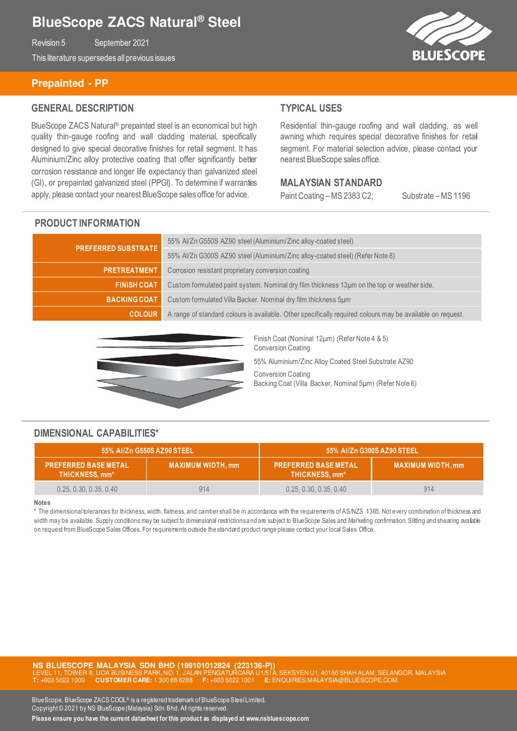# **BlueScope ZACS Natural® Steel**

Revision 5 September 2021

This literature supersedes all previous issues

# **Prepainted - PP**

### **GENERAL DESCRIPTION**

BlueScope ZACS Natural® prepainted steel is an economical but high quality thin-gauge roofing and wall cladding material, specifically designed to give special decorative finishes for retail segment. It has Aluminium/Zinc alloy protective coating that offer significantly better corrosion resistance and longer life expectancy than galvanized steel (GI), or prepainted galvanized steel (PPGI). To determine if warranties apply, please contact your nearest BlueScope sales office for advice.

### **TYPICAL USES**

Residential thin-gauge roofing and wall cladding, as well awning which requires special decorative finishes for retail segment. For material selection advice, please contact your nearest BlueScope sales office.

#### **MALAYSIAN STANDARD**

Paint Coating – MS 2383 C2; Substrate – MS 1196

### **PRODUCT INFORMATION**

| <b>PREFERRED SUBSTRATE</b> | 55% Al/Zn G550S AZ90 steel (Aluminium/Zinc alloy-coated steel)                                             |  |
|----------------------------|------------------------------------------------------------------------------------------------------------|--|
|                            | 55% Al/Zn G300S AZ90 steel (Aluminium/Zinc alloy-coated steel) (Refer Note 8)                              |  |
| <b>PRETREATMENT</b>        | Corrosion resistant proprietary conversion coating                                                         |  |
| <b>FINISH COAT</b>         | Custom formulated paint system. Nominal dry film thickness 13µm on the top or weather side.                |  |
| <b>BACKING COAT</b>        | Custom formulated Villa Backer. Nominal dry film thickness 5um                                             |  |
| <b>COLOUR</b>              | A range of standard colours is available. Other specifically required colours may be available on request. |  |



Finish Coat (Nominal 12µm) (Refer Note 4 & 5) Conversion Coating

55% Aluminium/Zinc Alloy Coated Steel Substrate AZ90

Conversion Coating Backing Coat (Villa Backer, Nominal 5µm) (Refer Note 6)

### **DIMENSIONAL CAPABILITIES\***

| 55% Al/Zn G550S AZ90 STEEL                    |                         | 55% Al/Zn G300S AZ90 STEEL                    |                          |
|-----------------------------------------------|-------------------------|-----------------------------------------------|--------------------------|
| <b>PREFERRED BASE METAL</b><br>THICKNESS, mm* | <b>MAXIMUM WIDTH.mm</b> | <b>PREFERRED BASE METAL</b><br>THICKNESS, mm* | <b>MAXIMUM WIDTH, mm</b> |
| 0.25, 0.30, 0.35, 0.40                        | 914                     | 0.25, 0.30, 0.35, 0.40                        | 914                      |

#### **Notes**

\* The dimensional tolerances for thickness, width, flatness, and camber shall be in accordance with the requirements of AS/NZS 1365. Not every combination of thickness and width may be available. Supply conditions may be subject to dimensional restrictions and are subject to BlueScope Sales and Marketing confirmation. Slitting and shearing available on request from BlueScope Sales Offices. For requirements outside the standard product range please contact your local Sales Office.

**NS BLUESCOPE MALAYSIA SDN BHD (199101012824 (223136-P))**  SYEN U1, 40150 SHAH ALAM, SELANGOR, MALAYSIA **T:** +603 5022 1000 **CUSTOMER CARE:** 1 300 88 6288 **F:** +603 5022 1001 **E:** ENQUIRIES.MALAYSIA@BLUESCOPE.COM

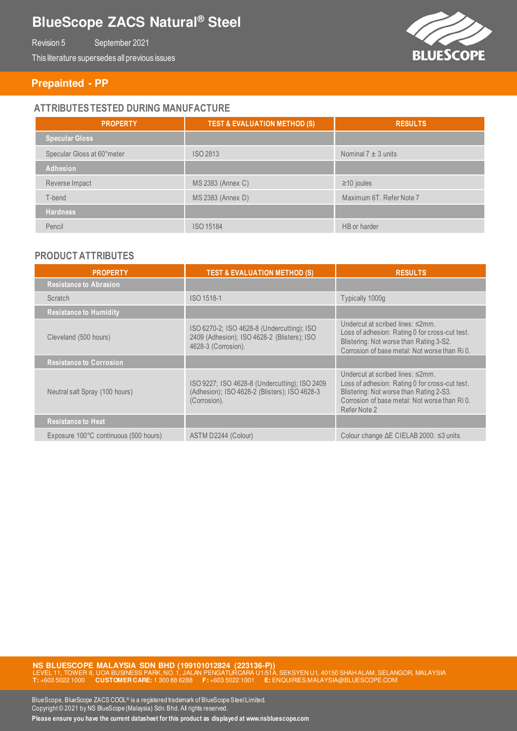# **BlueScope ZACS Natural® Steel**

Revision 5 September 2021

This literature supersedes all previous issues

**BLUESCOPE** 

### **Prepainted - PP**

# **ATTRIBUTES TESTED DURING MANUFACTURE**

| <b>PROPERTY</b>            | <b>TEST &amp; EVALUATION METHOD (S)</b> | <b>RESULTS</b>           |
|----------------------------|-----------------------------------------|--------------------------|
| Specular Gloss             |                                         |                          |
| Specular Gloss at 60°meter | <b>ISO 2813</b>                         | Nominal $7 \pm 3$ units  |
| Adhesion                   |                                         |                          |
| Reverse Impact             | MS 2383 (Annex C)                       | $\geq$ 10 joules         |
| T-bend                     | MS 2383 (Annex D)                       | Maximum 6T. Refer Note 7 |
| <b>Hardness</b>            |                                         |                          |
| Pencil                     | <b>ISO 15184</b>                        | HB or harder             |

### **PRODUCT ATTRIBUTES**

| <b>PROPERTY</b>                       | <b>TEST &amp; EVALUATION METHOD (S)</b>                                                                          | <b>RESULTS</b>                                                                                                                                                                                                    |
|---------------------------------------|------------------------------------------------------------------------------------------------------------------|-------------------------------------------------------------------------------------------------------------------------------------------------------------------------------------------------------------------|
| <b>Resistance to Abrasion</b>         |                                                                                                                  |                                                                                                                                                                                                                   |
| <b>Scratch</b>                        | ISO 1518-1                                                                                                       | Typically 1000g                                                                                                                                                                                                   |
| <b>Resistance to Humidity</b>         |                                                                                                                  |                                                                                                                                                                                                                   |
| Cleveland (500 hours)                 | ISO 6270-2; ISO 4628-8 (Undercutting); ISO<br>2409 (Adhesion); ISO 4628-2 (Blisters); ISO<br>4628-3 (Corrosion). | Undercut at scribed lines: $\leq 2$ mm.<br>Loss of adhesion: Rating 0 for cross-cut test.<br>Blistering: Not worse than Rating 3-S2.<br>Corrosion of base metal: Not worse than RiO.                              |
| <b>Resistance to Corrosion</b>        |                                                                                                                  |                                                                                                                                                                                                                   |
| Neutral salt Spray (100 hours)        | ISO 9227; ISO 4628-8 (Undercutting); ISO 2409<br>(Adhesion); ISO 4628-2 (Blisters); ISO 4628-3<br>(Corrosion).   | Undercut at scribed lines: $\leq 2$ mm.<br>Loss of adhesion: Rating 0 for cross-cut test.<br>Blistering: Not worse than Rating 2-S3.<br>Corrosion of base metal: Not worse than Ri <sub>0</sub> .<br>Refer Note 2 |
| <b>Resistance to Heat</b>             |                                                                                                                  |                                                                                                                                                                                                                   |
| Exposure 100°C continuous (500 hours) | ASTM D2244 (Colour)                                                                                              | Colour change $\Delta E$ CIELAB 2000: $\leq$ 3 units                                                                                                                                                              |

**NS BLUESCOPE MALAYSIA SDN BHD (199101012824 (223136-P))**<br>LEVEL 11, TOWER 8, UOA BUSINESS PARK, NO. 1, JALAN PENGATURCARA U1/51A, SEKSYEN U1, 40150 SHAH ALAM, SELANGOR, MALAYSIA **T:** +603 5022 1000 **CUSTOMER CARE:** 1 300 88 6288 **F:** +603 5022 1001 **E:** ENQUIRIES.MALAYSIA@BLUESCOPE.COM